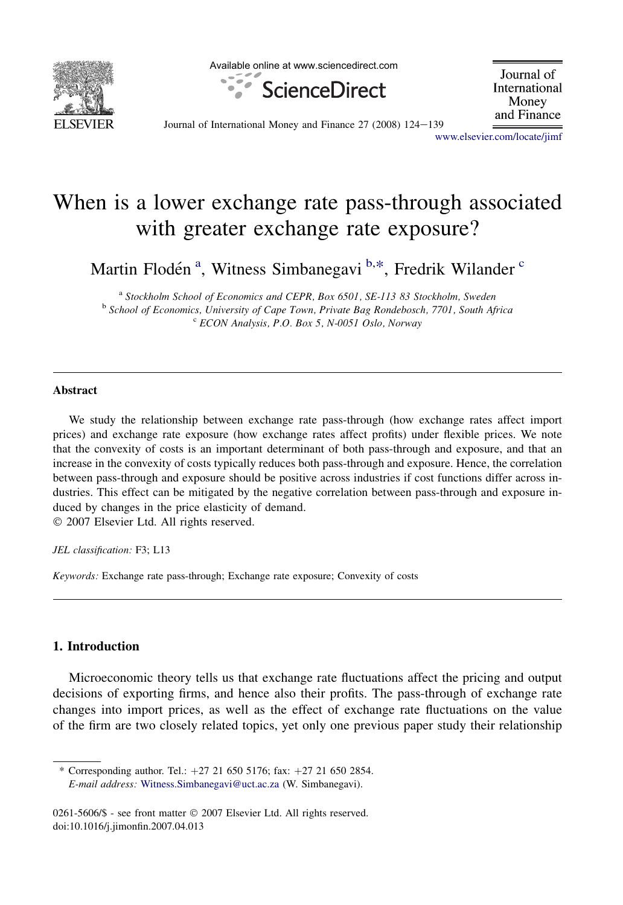

Available online at www.sciencedirect.com



Journal of International Money and Finance

Journal of International Money and Finance  $27$  (2008)  $124-139$ 

<www.elsevier.com/locate/jimf>

## When is a lower exchange rate pass-through associated with greater exchange rate exposure?

Martin Flodén<sup>a</sup>, Witness Simbanegavi b,\*, Fredrik Wilander <sup>c</sup>

<sup>a</sup> Stockholm School of Economics and CEPR, Box 6501, SE-113 83 Stockholm, Sweden b School of Economics, University of Cape Town, Private Bag Rondebosch, 7701, South Africa c ECON Analysis, P.O. Box 5, N-0051 Oslo, Norway

## Abstract

We study the relationship between exchange rate pass-through (how exchange rates affect import prices) and exchange rate exposure (how exchange rates affect profits) under flexible prices. We note that the convexity of costs is an important determinant of both pass-through and exposure, and that an increase in the convexity of costs typically reduces both pass-through and exposure. Hence, the correlation between pass-through and exposure should be positive across industries if cost functions differ across industries. This effect can be mitigated by the negative correlation between pass-through and exposure induced by changes in the price elasticity of demand. © 2007 Elsevier Ltd. All rights reserved.

JEL classification: F3; L13

Keywords: Exchange rate pass-through; Exchange rate exposure; Convexity of costs

## 1. Introduction

Microeconomic theory tells us that exchange rate fluctuations affect the pricing and output decisions of exporting firms, and hence also their profits. The pass-through of exchange rate changes into import prices, as well as the effect of exchange rate fluctuations on the value of the firm are two closely related topics, yet only one previous paper study their relationship

\* Corresponding author. Tel.:  $+27$  21 650 5176; fax:  $+27$  21 650 2854. E-mail address: [Witness.Simbanegavi@uct.ac.za](mailto:Witness.Simbanegavi@uct.ac.za) (W. Simbanegavi).

<sup>0261-5606/\$ -</sup> see front matter © 2007 Elsevier Ltd. All rights reserved. doi:10.1016/j.jimonfin.2007.04.013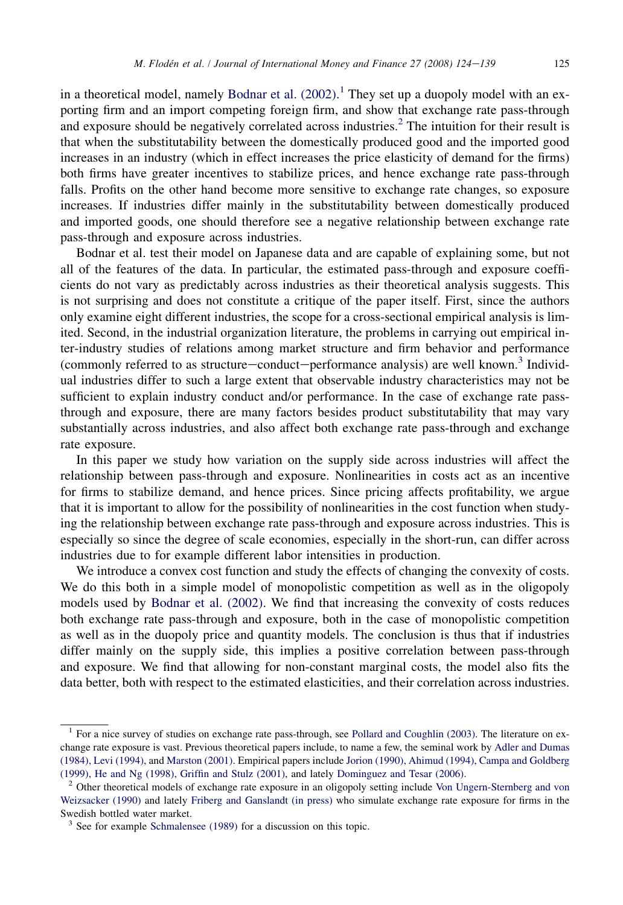in a theoretical model, namely [Bodnar et al. \(2002\).](#page--1-0)<sup>1</sup> They set up a duopoly model with an exporting firm and an import competing foreign firm, and show that exchange rate pass-through and exposure should be negatively correlated across industries.<sup>2</sup> The intuition for their result is that when the substitutability between the domestically produced good and the imported good increases in an industry (which in effect increases the price elasticity of demand for the firms) both firms have greater incentives to stabilize prices, and hence exchange rate pass-through falls. Profits on the other hand become more sensitive to exchange rate changes, so exposure increases. If industries differ mainly in the substitutability between domestically produced and imported goods, one should therefore see a negative relationship between exchange rate pass-through and exposure across industries.

Bodnar et al. test their model on Japanese data and are capable of explaining some, but not all of the features of the data. In particular, the estimated pass-through and exposure coefficients do not vary as predictably across industries as their theoretical analysis suggests. This is not surprising and does not constitute a critique of the paper itself. First, since the authors only examine eight different industries, the scope for a cross-sectional empirical analysis is limited. Second, in the industrial organization literature, the problems in carrying out empirical inter-industry studies of relations among market structure and firm behavior and performance (commonly referred to as structure—conduct—performance analysis) are well known.<sup>3</sup> Individual industries differ to such a large extent that observable industry characteristics may not be sufficient to explain industry conduct and/or performance. In the case of exchange rate passthrough and exposure, there are many factors besides product substitutability that may vary substantially across industries, and also affect both exchange rate pass-through and exchange rate exposure.

In this paper we study how variation on the supply side across industries will affect the relationship between pass-through and exposure. Nonlinearities in costs act as an incentive for firms to stabilize demand, and hence prices. Since pricing affects profitability, we argue that it is important to allow for the possibility of nonlinearities in the cost function when studying the relationship between exchange rate pass-through and exposure across industries. This is especially so since the degree of scale economies, especially in the short-run, can differ across industries due to for example different labor intensities in production.

We introduce a convex cost function and study the effects of changing the convexity of costs. We do this both in a simple model of monopolistic competition as well as in the oligopoly models used by [Bodnar et al. \(2002\).](#page--1-0) We find that increasing the convexity of costs reduces both exchange rate pass-through and exposure, both in the case of monopolistic competition as well as in the duopoly price and quantity models. The conclusion is thus that if industries differ mainly on the supply side, this implies a positive correlation between pass-through and exposure. We find that allowing for non-constant marginal costs, the model also fits the data better, both with respect to the estimated elasticities, and their correlation across industries.

<sup>&</sup>lt;sup>1</sup> For a nice survey of studies on exchange rate pass-through, see [Pollard and Coughlin \(2003\).](#page--1-0) The literature on exchange rate exposure is vast. Previous theoretical papers include, to name a few, the seminal work by [Adler and Dumas](#page--1-0) [\(1984\), Levi \(1994\),](#page--1-0) and [Marston \(2001\).](#page--1-0) Empirical papers include [Jorion \(1990\), Ahimud \(1994\), Campa and Goldberg](#page--1-0) [\(1999\), He and Ng \(1998\), Griffin and Stulz \(2001\)](#page--1-0), and lately [Dominguez and Tesar \(2006\)](#page--1-0). <sup>2</sup> Other theoretical models of exchange rate exposure in an oligopoly setting include [Von Ungern-Sternberg and von](#page--1-0)

[Weizsacker \(1990\)](#page--1-0) and lately [Friberg and Ganslandt \(in press\)](#page--1-0) who simulate exchange rate exposure for firms in the Swedish bottled water market.

 $3$  See for example [Schmalensee \(1989\)](#page--1-0) for a discussion on this topic.